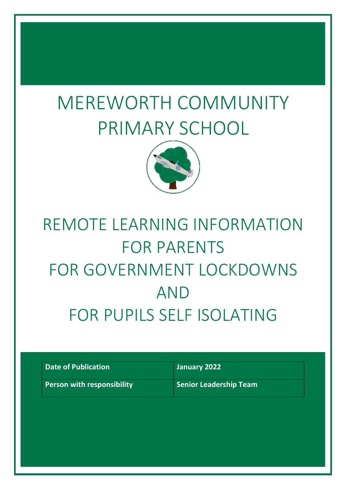# MEREWORTH COMMUNITY PRIMARY SCHOOL



# REMOTE LEARNING INFORMATION FOR PARENTS FOR GOVERNMENT LOCKDOWNS AND FOR PUPILS SELF ISOLATING

| Date of Publication        | January 2022           |
|----------------------------|------------------------|
| Person with responsibility | Senior Leadership Team |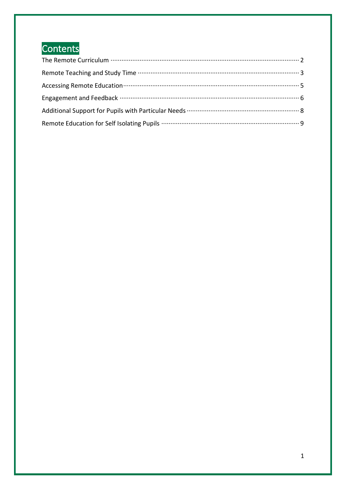## Contents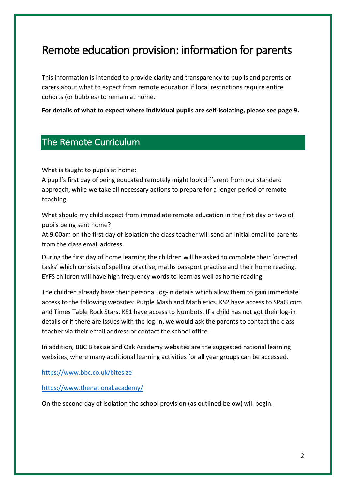## Remote education provision: information for parents

This information is intended to provide clarity and transparency to pupils and parents or carers about what to expect from remote education if local restrictions require entire cohorts (or bubbles) to remain at home.

**For details of what to expect where individual pupils are self-isolating, please see page 9.**

### <span id="page-2-0"></span>The Remote Curriculum

What is taught to pupils at home:

A pupil's first day of being educated remotely might look different from our standard approach, while we take all necessary actions to prepare for a longer period of remote teaching.

What should my child expect from immediate remote education in the first day or two of pupils being sent home?

At 9.00am on the first day of isolation the class teacher will send an initial email to parents from the class email address.

During the first day of home learning the children will be asked to complete their 'directed tasks' which consists of spelling practise, maths passport practise and their home reading. EYFS children will have high frequency words to learn as well as home reading.

The children already have their personal log-in details which allow them to gain immediate access to the following websites: Purple Mash and Mathletics. KS2 have access to SPaG.com and Times Table Rock Stars. KS1 have access to Numbots. If a child has not got their log-in details or if there are issues with the log-in, we would ask the parents to contact the class teacher via their email address or contact the school office.

In addition, BBC Bitesize and Oak Academy websites are the suggested national learning websites, where many additional learning activities for all year groups can be accessed.

<https://www.bbc.co.uk/bitesize>

<https://www.thenational.academy/>

On the second day of isolation the school provision (as outlined below) will begin.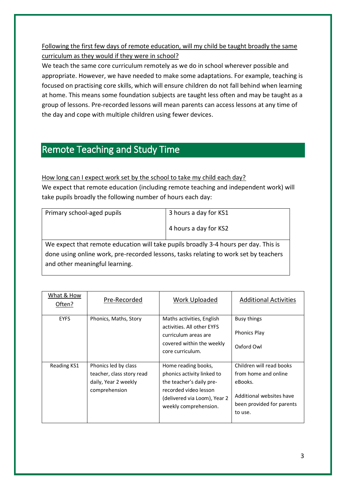Following the first few days of remote education, will my child be taught broadly the same curriculum as they would if they were in school?

We teach the same core curriculum remotely as we do in school wherever possible and appropriate. However, we have needed to make some adaptations. For example, teaching is focused on practising core skills, which will ensure children do not fall behind when learning at home. This means some foundation subjects are taught less often and may be taught as a group of lessons. Pre-recorded lessons will mean parents can access lessons at any time of the day and cope with multiple children using fewer devices.

## <span id="page-3-0"></span>Remote Teaching and Study Time

How long can I expect work set by the school to take my child each day? We expect that remote education (including remote teaching and independent work) will take pupils broadly the following number of hours each day:

| Primary school-aged pupils                                                           | 3 hours a day for KS1 |  |
|--------------------------------------------------------------------------------------|-----------------------|--|
|                                                                                      | 4 hours a day for KS2 |  |
| We expect that remote education will take pupils broadly 3-4 hours per day. This is  |                       |  |
| done using online work, pre-recorded lessons, tasks relating to work set by teachers |                       |  |
| and other meaningful learning.                                                       |                       |  |

| What & How<br>Often? | Pre-Recorded                                                                               | Work Uploaded                                                                                                                                                   | <b>Additional Activities</b>                                                                                                    |
|----------------------|--------------------------------------------------------------------------------------------|-----------------------------------------------------------------------------------------------------------------------------------------------------------------|---------------------------------------------------------------------------------------------------------------------------------|
| <b>EYFS</b>          | Phonics, Maths, Story                                                                      | Maths activities, English<br>activities. All other EYFS<br>curriculum areas are<br>covered within the weekly<br>core curriculum.                                | Busy things<br><b>Phonics Play</b><br>Oxford Owl                                                                                |
| Reading KS1          | Phonics led by class<br>teacher, class story read<br>daily, Year 2 weekly<br>comprehension | Home reading books,<br>phonics activity linked to<br>the teacher's daily pre-<br>recorded video lesson<br>(delivered via Loom), Year 2<br>weekly comprehension. | Children will read books<br>from home and online<br>eBooks.<br>Additional websites have<br>been provided for parents<br>to use. |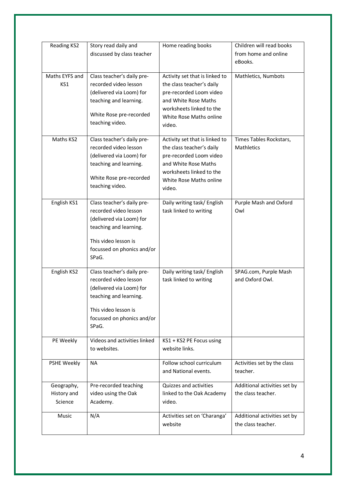| Reading KS2                          | Story read daily and<br>discussed by class teacher                                                                                                                       | Home reading books                                                                                                                                                              | Children will read books<br>from home and online<br>eBooks. |
|--------------------------------------|--------------------------------------------------------------------------------------------------------------------------------------------------------------------------|---------------------------------------------------------------------------------------------------------------------------------------------------------------------------------|-------------------------------------------------------------|
| Maths EYFS and<br>KS1                | Class teacher's daily pre-<br>recorded video lesson<br>(delivered via Loom) for<br>teaching and learning.<br>White Rose pre-recorded<br>teaching video.                  | Activity set that is linked to<br>the class teacher's daily<br>pre-recorded Loom video<br>and White Rose Maths<br>worksheets linked to the<br>White Rose Maths online<br>video. | Mathletics, Numbots                                         |
| Maths KS2                            | Class teacher's daily pre-<br>recorded video lesson<br>(delivered via Loom) for<br>teaching and learning.<br>White Rose pre-recorded<br>teaching video.                  | Activity set that is linked to<br>the class teacher's daily<br>pre-recorded Loom video<br>and White Rose Maths<br>worksheets linked to the<br>White Rose Maths online<br>video. | Times Tables Rockstars,<br>Mathletics                       |
| English KS1                          | Class teacher's daily pre-<br>recorded video lesson<br>(delivered via Loom) for<br>teaching and learning.<br>This video lesson is<br>focussed on phonics and/or<br>SPaG. | Daily writing task/ English<br>task linked to writing                                                                                                                           | Purple Mash and Oxford<br>Owl                               |
| English KS2                          | Class teacher's daily pre-<br>recorded video lesson<br>(delivered via Loom) for<br>teaching and learning.<br>This video lesson is<br>focussed on phonics and/or<br>SPaG. | Daily writing task/ English<br>task linked to writing                                                                                                                           | SPAG.com, Purple Mash<br>and Oxford Owl.                    |
| PE Weekly                            | Videos and activities linked<br>to websites.                                                                                                                             | KS1 + KS2 PE Focus using<br>website links.                                                                                                                                      |                                                             |
| PSHE Weekly                          | NА                                                                                                                                                                       | Follow school curriculum<br>and National events.                                                                                                                                | Activities set by the class<br>teacher.                     |
| Geography,<br>History and<br>Science | Pre-recorded teaching<br>video using the Oak<br>Academy.                                                                                                                 | Quizzes and activities<br>linked to the Oak Academy<br>video.                                                                                                                   | Additional activities set by<br>the class teacher.          |
| Music                                | N/A                                                                                                                                                                      | Activities set on 'Charanga'<br>website                                                                                                                                         | Additional activities set by<br>the class teacher.          |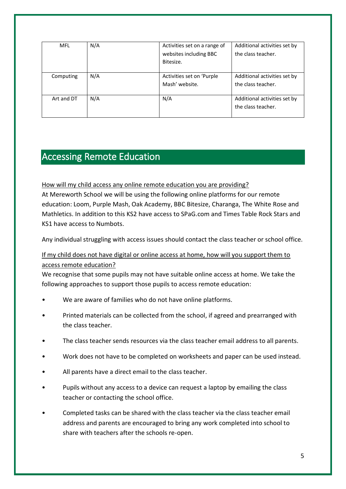| MFL        | N/A | Activities set on a range of | Additional activities set by |
|------------|-----|------------------------------|------------------------------|
|            |     | websites including BBC       | the class teacher.           |
|            |     | Bitesize.                    |                              |
|            |     |                              |                              |
| Computing  | N/A | Activities set on 'Purple    | Additional activities set by |
|            |     | Mash' website.               | the class teacher.           |
|            |     |                              |                              |
| Art and DT | N/A | N/A                          | Additional activities set by |
|            |     |                              | the class teacher.           |
|            |     |                              |                              |

## <span id="page-5-0"></span>Accessing Remote Education

How will my child access any online remote education you are providing? At Mereworth School we will be using the following online platforms for our remote education: Loom, Purple Mash, Oak Academy, BBC Bitesize, Charanga, The White Rose and Mathletics. In addition to this KS2 have access to SPaG.com and Times Table Rock Stars and KS1 have access to Numbots.

Any individual struggling with access issues should contact the class teacher or school office.

#### If my child does not have digital or online access at home, how will you support them to access remote education?

We recognise that some pupils may not have suitable online access at home. We take the following approaches to support those pupils to access remote education:

- We are aware of families who do not have online platforms.
- Printed materials can be collected from the school, if agreed and prearranged with the class teacher.
- The class teacher sends resources via the class teacher email address to all parents.
- Work does not have to be completed on worksheets and paper can be used instead.
- All parents have a direct email to the class teacher.
- Pupils without any access to a device can request a laptop by emailing the class teacher or contacting the school office.
- Completed tasks can be shared with the class teacher via the class teacher email address and parents are encouraged to bring any work completed into school to share with teachers after the schools re-open.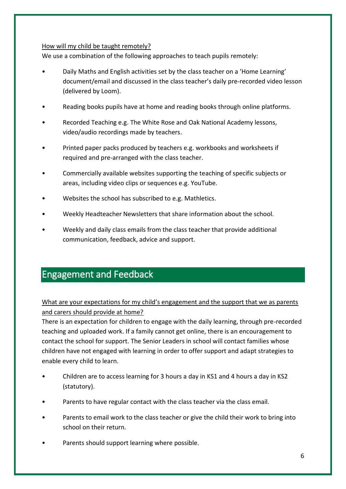#### How will my child be taught remotely?

We use a combination of the following approaches to teach pupils remotely:

- Daily Maths and English activities set by the class teacher on a 'Home Learning' document/email and discussed in the class teacher's daily pre-recorded video lesson (delivered by Loom).
- Reading books pupils have at home and reading books through online platforms.
- Recorded Teaching e.g. The White Rose and Oak National Academy lessons, video/audio recordings made by teachers.
- Printed paper packs produced by teachers e.g. workbooks and worksheets if required and pre-arranged with the class teacher.
- Commercially available websites supporting the teaching of specific subjects or areas, including video clips or sequences e.g. YouTube.
- Websites the school has subscribed to e.g. Mathletics.
- Weekly Headteacher Newsletters that share information about the school.
- Weekly and daily class emails from the class teacher that provide additional communication, feedback, advice and support.

### <span id="page-6-0"></span>Engagement and Feedback

What are your expectations for my child's engagement and the support that we as parents and carers should provide at home?

There is an expectation for children to engage with the daily learning, through pre-recorded teaching and uploaded work. If a family cannot get online, there is an encouragement to contact the school for support. The Senior Leaders in school will contact families whose children have not engaged with learning in order to offer support and adapt strategies to enable every child to learn.

- Children are to access learning for 3 hours a day in KS1 and 4 hours a day in KS2 (statutory).
- Parents to have regular contact with the class teacher via the class email.
- Parents to email work to the class teacher or give the child their work to bring into school on their return.
- Parents should support learning where possible.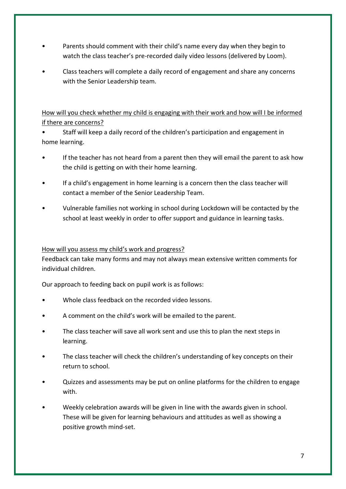- Parents should comment with their child's name every day when they begin to watch the class teacher's pre-recorded daily video lessons (delivered by Loom).
- Class teachers will complete a daily record of engagement and share any concerns with the Senior Leadership team.

How will you check whether my child is engaging with their work and how will I be informed if there are concerns?

• Staff will keep a daily record of the children's participation and engagement in home learning.

- If the teacher has not heard from a parent then they will email the parent to ask how the child is getting on with their home learning.
- If a child's engagement in home learning is a concern then the class teacher will contact a member of the Senior Leadership Team.
- Vulnerable families not working in school during Lockdown will be contacted by the school at least weekly in order to offer support and guidance in learning tasks.

#### How will you assess my child's work and progress?

Feedback can take many forms and may not always mean extensive written comments for individual children.

Our approach to feeding back on pupil work is as follows:

- Whole class feedback on the recorded video lessons.
- A comment on the child's work will be emailed to the parent.
- The class teacher will save all work sent and use this to plan the next steps in learning.
- The class teacher will check the children's understanding of key concepts on their return to school.
- Quizzes and assessments may be put on online platforms for the children to engage with.
- Weekly celebration awards will be given in line with the awards given in school. These will be given for learning behaviours and attitudes as well as showing a positive growth mind-set.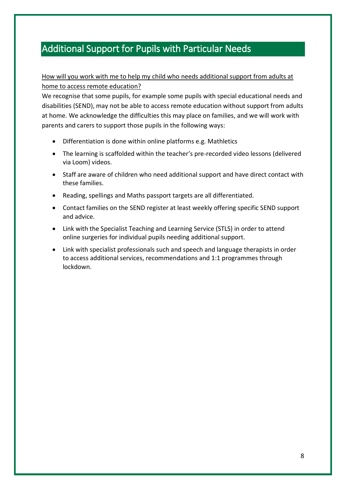## <span id="page-8-0"></span>Additional Support for Pupils with Particular Needs

#### How will you work with me to help my child who needs additional support from adults at home to access remote education?

We recognise that some pupils, for example some pupils with special educational needs and disabilities (SEND), may not be able to access remote education without support from adults at home. We acknowledge the difficulties this may place on families, and we will work with parents and carers to support those pupils in the following ways:

- Differentiation is done within online platforms e.g. Mathletics
- The learning is scaffolded within the teacher's pre-recorded video lessons (delivered via Loom) videos.
- Staff are aware of children who need additional support and have direct contact with these families.
- Reading, spellings and Maths passport targets are all differentiated.
- Contact families on the SEND register at least weekly offering specific SEND support and advice.
- Link with the Specialist Teaching and Learning Service (STLS) in order to attend online surgeries for individual pupils needing additional support.
- Link with specialist professionals such and speech and language therapists in order to access additional services, recommendations and 1:1 programmes through lockdown.